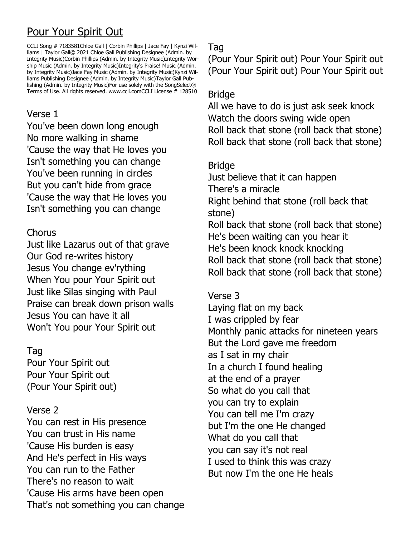# Pour Your Spirit Out

CCLI Song # 7183581Chloe Gall | Corbin Phillips | Jace Fay | Kynzi Williams | Taylor Gall© 2021 Chloe Gall Publishing Designee (Admin. by Integrity Music)Corbin Phillips (Admin. by Integrity Music)Integrity Worship Music (Admin. by Integrity Music)Integrity's Praise! Music (Admin. by Integrity Music)Jace Fay Music (Admin. by Integrity Music)Kynzi Williams Publishing Designee (Admin. by Integrity Music)Taylor Gall Publishing (Admin. by Integrity Music)For use solely with the SongSelect® Terms of Use. All rights reserved. www.ccli.comCCLI License # 128510

### Verse 1

You've been down long enough No more walking in shame 'Cause the way that He loves you Isn't something you can change You've been running in circles But you can't hide from grace 'Cause the way that He loves you Isn't something you can change

### Chorus

Just like Lazarus out of that grave Our God re-writes history Jesus You change ev'rything When You pour Your Spirit out Just like Silas singing with Paul Praise can break down prison walls Jesus You can have it all Won't You pour Your Spirit out

#### Tag

Pour Your Spirit out Pour Your Spirit out (Pour Your Spirit out)

#### Verse 2

You can rest in His presence You can trust in His name 'Cause His burden is easy And He's perfect in His ways You can run to the Father There's no reason to wait 'Cause His arms have been open That's not something you can change

#### Tag

(Pour Your Spirit out) Pour Your Spirit out (Pour Your Spirit out) Pour Your Spirit out

## Bridge

All we have to do is just ask seek knock Watch the doors swing wide open Roll back that stone (roll back that stone) Roll back that stone (roll back that stone)

#### Bridge

Just believe that it can happen There's a miracle Right behind that stone (roll back that stone) Roll back that stone (roll back that stone) He's been waiting can you hear it He's been knock knock knocking Roll back that stone (roll back that stone) Roll back that stone (roll back that stone)

#### Verse 3

Laying flat on my back I was crippled by fear Monthly panic attacks for nineteen years But the Lord gave me freedom as I sat in my chair In a church I found healing at the end of a prayer So what do you call that you can try to explain You can tell me I'm crazy but I'm the one He changed What do you call that you can say it's not real I used to think this was crazy But now I'm the one He heals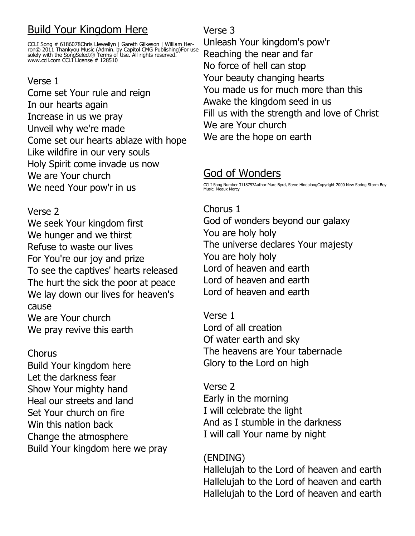## Build Your Kingdom Here

CCLI Song # 6186078Chris Llewellyn | Gareth Gilkeson | William Herron© 2011 Thankyou Music (Admin. by Capitol CMG Publishing)For use solely with the SongSelect® Terms of Use. All rights reserved. www.ccli.com CCLI License # 128510

Verse 1 Come set Your rule and reign In our hearts again Increase in us we pray Unveil why we're made Come set our hearts ablaze with hope Like wildfire in our very souls Holy Spirit come invade us now We are Your church We need Your pow'r in us

#### Verse 2

We seek Your kingdom first We hunger and we thirst Refuse to waste our lives For You're our joy and prize To see the captives' hearts released The hurt the sick the poor at peace We lay down our lives for heaven's cause

We are Your church We pray revive this earth

#### **Chorus**

Build Your kingdom here Let the darkness fear Show Your mighty hand Heal our streets and land Set Your church on fire Win this nation back Change the atmosphere Build Your kingdom here we pray Verse 3

Unleash Your kingdom's pow'r Reaching the near and far No force of hell can stop Your beauty changing hearts You made us for much more than this Awake the kingdom seed in us Fill us with the strength and love of Christ We are Your church We are the hope on earth

## God of Wonders

CCLI Song Number 3118757Author Marc Byrd, Steve HindalongCopyright 2000 New Spring Storm Boy Music, Meaux Mercy

Chorus 1 God of wonders beyond our galaxy You are holy holy The universe declares Your majesty You are holy holy Lord of heaven and earth Lord of heaven and earth Lord of heaven and earth

Verse 1 Lord of all creation Of water earth and sky The heavens are Your tabernacle Glory to the Lord on high

Verse 2 Early in the morning I will celebrate the light And as I stumble in the darkness I will call Your name by night

#### (ENDING)

Hallelujah to the Lord of heaven and earth Hallelujah to the Lord of heaven and earth Hallelujah to the Lord of heaven and earth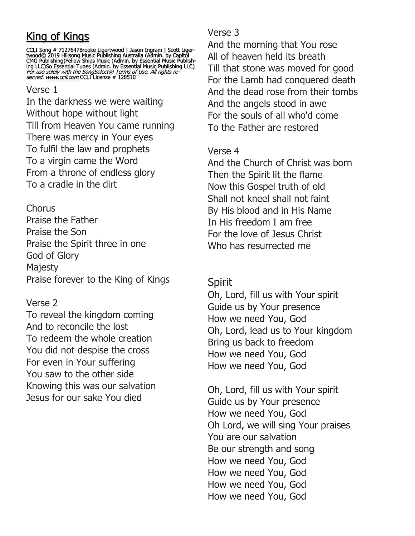# King of Kings

CCLI Song # 7127647Brooke Ligertwood | Jason Ingram | Scott Liger-twood© 2019 Hillsong Music Publishing Australia (Admin. by Capitol CMG Publishing)Fellow Ships Music (Admin. by Essential Music Publishing LLC)So Essential Tunes (Admin. by Essential Music Publishing LLC) For use solely with the SongSelect® <u>Terms of Use</u>. All rights re-<br>*served. <u>[www.ccli.com](http://www.ccli.com/)</u>* CCLI License # 128510

#### Verse 1

In the darkness we were waiting Without hope without light Till from Heaven You came running There was mercy in Your eyes To fulfil the law and prophets To a virgin came the Word From a throne of endless glory To a cradle in the dirt

#### **Chorus**

Praise the Father Praise the Son Praise the Spirit three in one God of Glory Majesty Praise forever to the King of Kings

#### Verse 2

To reveal the kingdom coming And to reconcile the lost To redeem the whole creation You did not despise the cross For even in Your suffering You saw to the other side Knowing this was our salvation Jesus for our sake You died

### Verse 3

And the morning that You rose All of heaven held its breath Till that stone was moved for good For the Lamb had conquered death And the dead rose from their tombs And the angels stood in awe For the souls of all who'd come To the Father are restored

### Verse 4

And the Church of Christ was born Then the Spirit lit the flame Now this Gospel truth of old Shall not kneel shall not faint By His blood and in His Name In His freedom I am free For the love of Jesus Christ Who has resurrected me

## Spirit

Oh, Lord, fill us with Your spirit Guide us by Your presence How we need You, God Oh, Lord, lead us to Your kingdom Bring us back to freedom How we need You, God How we need You, God

Oh, Lord, fill us with Your spirit Guide us by Your presence How we need You, God Oh Lord, we will sing Your praises You are our salvation Be our strength and song How we need You, God How we need You, God How we need You, God How we need You, God